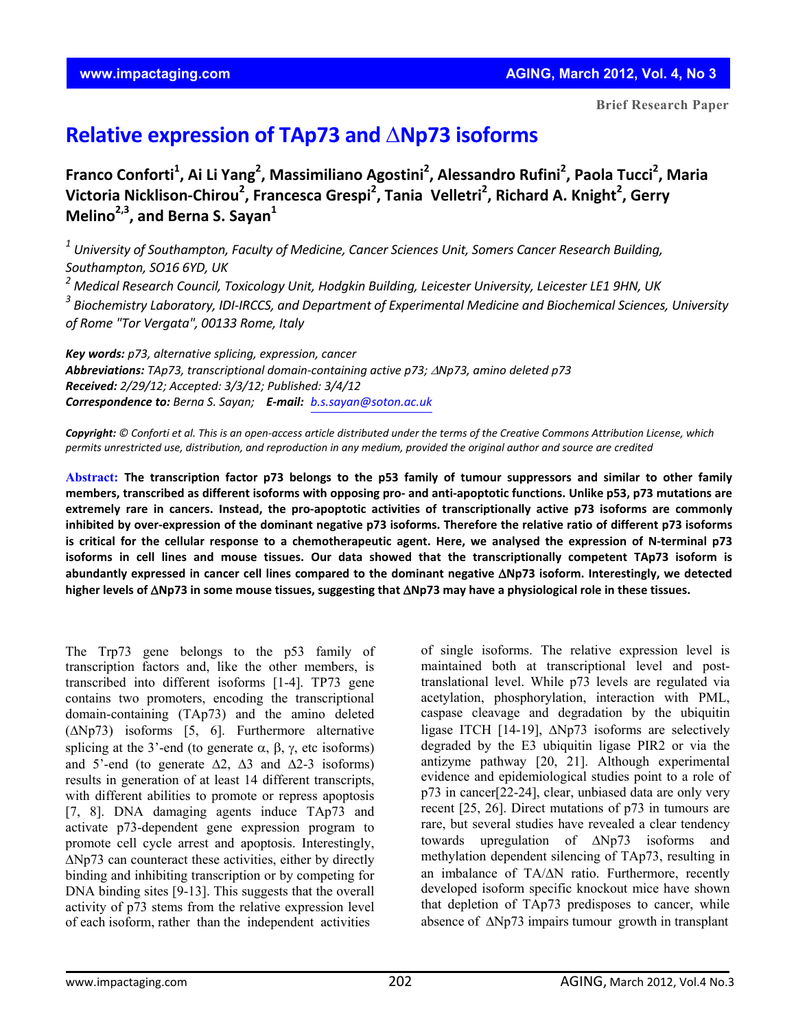## **Relative expression of TAp73 and** Δ**Np73 isoforms**

Franco Conforti<sup>1</sup>, Ai Li Yang<sup>2</sup>, Massimiliano Agostini<sup>2</sup>, Alessandro Rufini<sup>2</sup>, Paola Tucci<sup>2</sup>, Maria **Victoria Nicklison‐Chirou2 , Francesca Grespi2 , Tania Velletri2 , Richard A. Knight2 , Gerry Melino<sup>2,3</sup>, and Berna S. Savan<sup>1</sup>** 

*<sup>1</sup> University of Southampton, Faculty of Medicine, Cancer Sciences Unit, Somers Cancer Research Building, Southampton, SO16 6YD, UK*

*<sup>2</sup> Medical Research Council, Toxicology Unit, Hodgkin Building, Leicester University, Leicester LE1 9HN, UK* 

*<sup>3</sup> Biochemistry Laboratory, IDI‐IRCCS, and Department of Experimental Medicine and Biochemical Sciences, University of Rome "Tor Vergata", 00133 Rome, Italy*

*Key words: p73, alternative splicing, expression, cancer Abbreviations: TAp73, transcriptional domain‐containing active p73;* <sup>Δ</sup>*Np73, amino deleted p73 Received: 2/29/12; Accepted: 3/3/12; Published: 3/4/12 Correspondence to: Berna S. Sayan; E‐mail: b.s.sayan@soton.ac.uk*

Copyright: © Conforti et al. This is an open-access article distributed under the terms of the Creative Commons Attribution License, which permits unrestricted use, distribution, and reproduction in any medium, provided the original author and source are credited

Abstract: The transcription factor p73 belongs to the p53 family of tumour suppressors and similar to other family members, transcribed as different isoforms with opposing pro- and anti-apoptotic functions. Unlike p53, p73 mutations are extremely rare in cancers. Instead, the pro-apoptotic activities of transcriptionally active p73 isoforms are commonly inhibited by over-expression of the dominant negative p73 isoforms. Therefore the relative ratio of different p73 isoforms is critical for the cellular response to a chemotherapeutic agent. Here, we analysed the expression of N-terminal p73 isoforms in cell lines and mouse tissues. Our data showed that the transcriptionally competent TAp73 isoform is abundantly expressed in cancer cell lines compared to the dominant negative  $\Delta$ Np73 isoform. Interestingly, we detected higher levels of  $\Delta$ Np73 in some mouse tissues, suggesting that  $\Delta$ Np73 may have a physiological role in these tissues.

The Trp73 gene belongs to the p53 family of transcription factors and, like the other members, is transcribed into different isoforms [1-4]. TP73 gene contains two promoters, encoding the transcriptional domain-containing (TAp73) and the amino deleted (ΔNp73) isoforms [5, 6]. Furthermore alternative splicing at the 3'-end (to generate  $\alpha$ ,  $\beta$ ,  $\gamma$ , etc isoforms) and 5'-end (to generate  $\Delta 2$ ,  $\Delta 3$  and  $\Delta 2$ -3 isoforms) results in generation of at least 14 different transcripts, with different abilities to promote or repress apoptosis [7, 8]. DNA damaging agents induce TAp73 and activate p73-dependent gene expression program to promote cell cycle arrest and apoptosis. Interestingly, ΔNp73 can counteract these activities, either by directly binding and inhibiting transcription or by competing for DNA binding sites [9-13]. This suggests that the overall activity of p73 stems from the relative expression level of each isoform, rather than the independent activities

of single isoforms. The relative expression level is maintained both at transcriptional level and posttranslational level. While p73 levels are regulated via acetylation, phosphorylation, interaction with PML, caspase cleavage and degradation by the ubiquitin ligase ITCH [14-19], ΔNp73 isoforms are selectively degraded by the E3 ubiquitin ligase PIR2 or via the antizyme pathway [20, 21]. Although experimental evidence and epidemiological studies point to a role of p73 in cancer[22-24], clear, unbiased data are only very recent [25, 26]. Direct mutations of p73 in tumours are rare, but several studies have revealed a clear tendency towards upregulation of ΔNp73 isoforms and methylation dependent silencing of TAp73, resulting in an imbalance of TA/ΔN ratio. Furthermore, recently developed isoform specific knockout mice have shown that depletion of TAp73 predisposes to cancer, while absence of ΔNp73 impairs tumour growth in transplant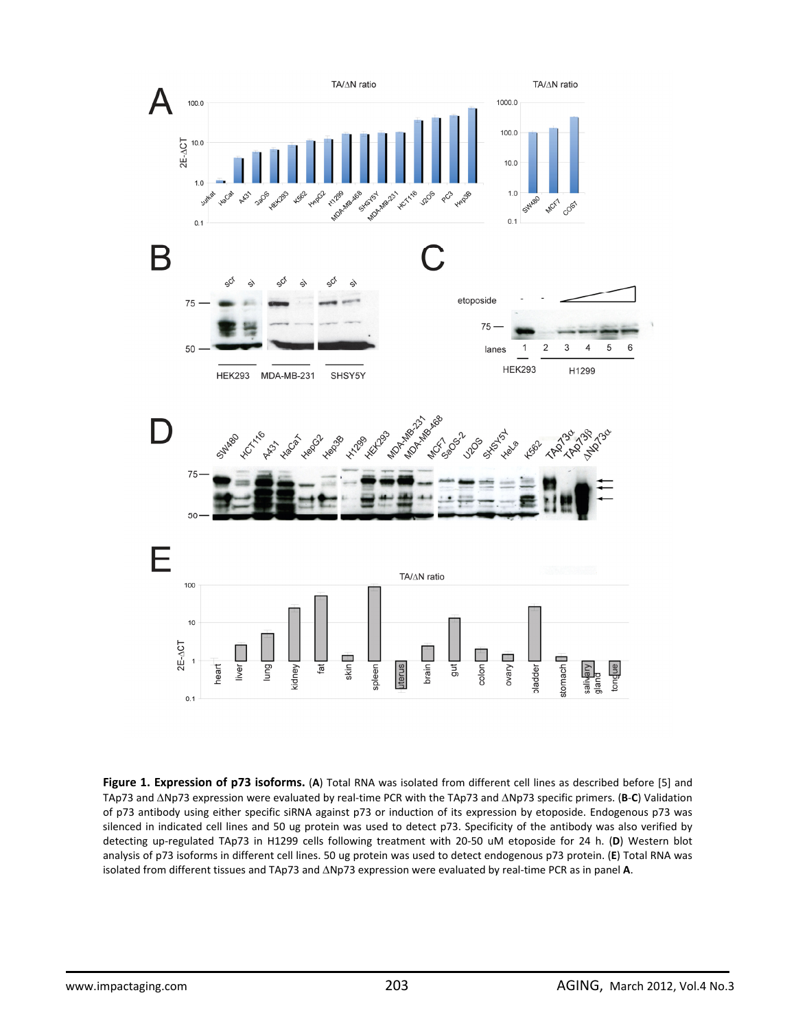

**Figure 1. Expression of p73 isoforms.** (**A**) Total RNA was isolated from different cell lines as described before [5] and TAp73 and ΔNp73 expression were evaluated by real‐time PCR with the TAp73 and ΔNp73 specific primers. (**B**‐**C**) Validation of p73 antibody using either specific siRNA against p73 or induction of its expression by etoposide. Endogenous p73 was silenced in indicated cell lines and 50 ug protein was used to detect p73. Specificity of the antibody was also verified by detecting up‐regulated TAp73 in H1299 cells following treatment with 20‐50 uM etoposide for 24 h. (**D**) Western blot analysis of p73 isoforms in different cell lines. 50 ug protein was used to detect endogenous p73 protein. (**E**) Total RNA was isolated from different tissues and TAp73 and ΔNp73 expression were evaluated by real‐time PCR as in panel **A**.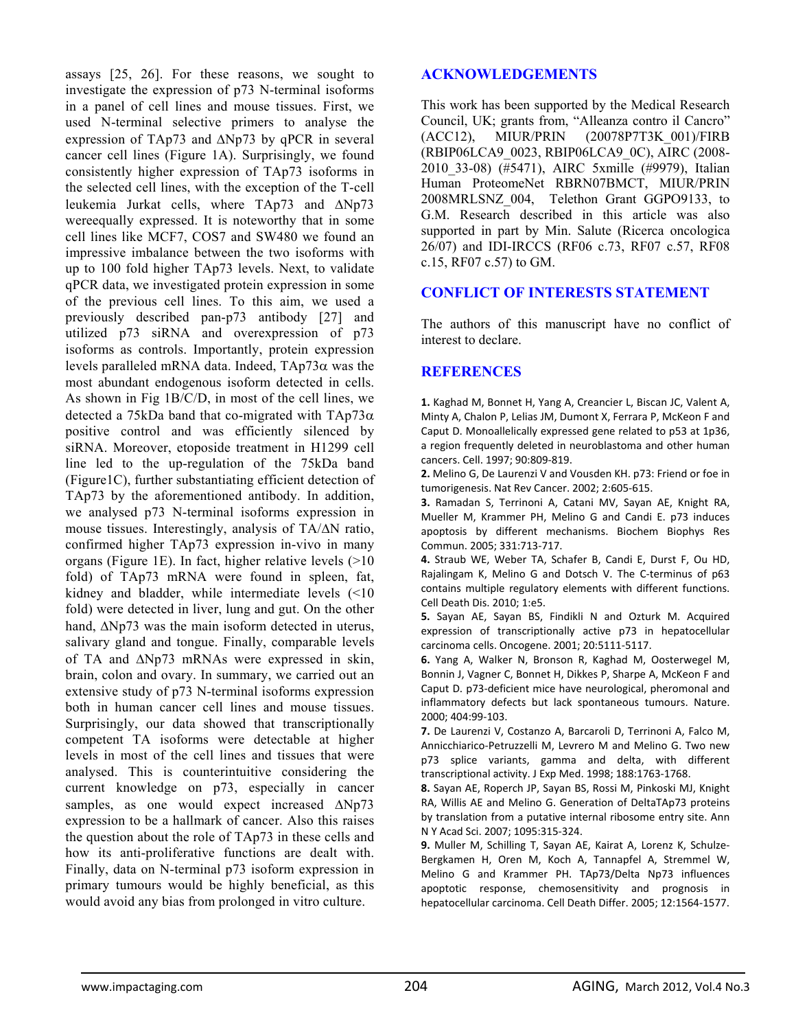assays [25, 26]. For these reasons, we sought to investigate the expression of p73 N-terminal isoforms in a panel of cell lines and mouse tissues. First, we used N-terminal selective primers to analyse the expression of TAp73 and ΔNp73 by qPCR in several cancer cell lines (Figure 1A). Surprisingly, we found consistently higher expression of TAp73 isoforms in the selected cell lines, with the exception of the T-cell leukemia Jurkat cells, where TAp73 and ΔNp73 wereequally expressed. It is noteworthy that in some cell lines like MCF7, COS7 and SW480 we found an impressive imbalance between the two isoforms with up to 100 fold higher TAp73 levels. Next, to validate qPCR data, we investigated protein expression in some of the previous cell lines. To this aim, we used a previously described pan-p73 antibody [27] and utilized p73 siRNA and overexpression of p73 isoforms as controls. Importantly, protein expression levels paralleled mRNA data. Indeed, TAp73α was the most abundant endogenous isoform detected in cells. As shown in Fig 1B/C/D, in most of the cell lines, we detected a 75kDa band that co-migrated with  $TAp73\alpha$ positive control and was efficiently silenced by siRNA. Moreover, etoposide treatment in H1299 cell line led to the up-regulation of the 75kDa band (Figure1C), further substantiating efficient detection of TAp73 by the aforementioned antibody. In addition, we analysed p73 N-terminal isoforms expression in mouse tissues. Interestingly, analysis of TA/ΔN ratio, confirmed higher TAp73 expression in-vivo in many organs (Figure 1E). In fact, higher relative levels (>10 fold) of TAp73 mRNA were found in spleen, fat, kidney and bladder, while intermediate levels (<10 fold) were detected in liver, lung and gut. On the other hand, ΔNp73 was the main isoform detected in uterus, salivary gland and tongue. Finally, comparable levels of TA and ΔNp73 mRNAs were expressed in skin, brain, colon and ovary. In summary, we carried out an extensive study of p73 N-terminal isoforms expression both in human cancer cell lines and mouse tissues. Surprisingly, our data showed that transcriptionally competent TA isoforms were detectable at higher levels in most of the cell lines and tissues that were analysed. This is counterintuitive considering the current knowledge on p73, especially in cancer samples, as one would expect increased ΔNp73 expression to be a hallmark of cancer. Also this raises the question about the role of TAp73 in these cells and how its anti-proliferative functions are dealt with. Finally, data on N-terminal p73 isoform expression in primary tumours would be highly beneficial, as this would avoid any bias from prolonged in vitro culture.

## **ACKNOWLEDGEMENTS**

This work has been supported by the Medical Research Council, UK; grants from, "Alleanza contro il Cancro" (ACC12), MIUR/PRIN (20078P7T3K\_001)/FIRB (RBIP06LCA9\_0023, RBIP06LCA9\_0C), AIRC (2008- 2010\_33-08) (#5471), AIRC 5xmille (#9979), Italian Human ProteomeNet RBRN07BMCT, MIUR/PRIN 2008MRLSNZ\_004, Telethon Grant GGPO9133, to G.M. Research described in this article was also supported in part by Min. Salute (Ricerca oncologica 26/07) and IDI-IRCCS (RF06 c.73, RF07 c.57, RF08 c.15, RF07 c.57) to GM.

## **CONFLICT OF INTERESTS STATEMENT**

The authors of this manuscript have no conflict of interest to declare.

## **REFERENCES**

**1.** Kaghad M, Bonnet H, Yang A, Creancier L, Biscan JC, Valent A, Minty A, Chalon P, Lelias JM, Dumont X, Ferrara P, McKeon F and Caput D. Monoallelically expressed gene related to p53 at 1p36, a region frequently deleted in neuroblastoma and other human cancers. Cell. 1997; 90:809‐819.

**2.** Melino G, De Laurenzi V and Vousden KH. p73: Friend or foe in tumorigenesis. Nat Rev Cancer. 2002; 2:605‐615.

**3.** Ramadan S, Terrinoni A, Catani MV, Sayan AE, Knight RA, Mueller M, Krammer PH, Melino G and Candi E. p73 induces apoptosis by different mechanisms. Biochem Biophys Res Commun. 2005; 331:713‐717.

**4.** Straub WE, Weber TA, Schafer B, Candi E, Durst F, Ou HD, Rajalingam K, Melino G and Dotsch V. The C‐terminus of p63 contains multiple regulatory elements with different functions. Cell Death Dis. 2010; 1:e5.

**5.** Sayan AE, Sayan BS, Findikli N and Ozturk M. Acquired expression of transcriptionally active p73 in hepatocellular carcinoma cells. Oncogene. 2001; 20:5111‐5117.

**6.** Yang A, Walker N, Bronson R, Kaghad M, Oosterwegel M, Bonnin J, Vagner C, Bonnet H, Dikkes P, Sharpe A, McKeon F and Caput D. p73‐deficient mice have neurological, pheromonal and inflammatory defects but lack spontaneous tumours. Nature. 2000; 404:99‐103.

**7.** De Laurenzi V, Costanzo A, Barcaroli D, Terrinoni A, Falco M, Annicchiarico‐Petruzzelli M, Levrero M and Melino G. Two new p73 splice variants, gamma and delta, with different transcriptional activity. J Exp Med. 1998; 188:1763‐1768.

**8.** Sayan AE, Roperch JP, Sayan BS, Rossi M, Pinkoski MJ, Knight RA, Willis AE and Melino G. Generation of DeltaTAp73 proteins by translation from a putative internal ribosome entry site. Ann N Y Acad Sci. 2007; 1095:315‐324.

**9.** Muller M, Schilling T, Sayan AE, Kairat A, Lorenz K, Schulze‐ Bergkamen H, Oren M, Koch A, Tannapfel A, Stremmel W, Melino G and Krammer PH. TAp73/Delta Np73 influences apoptotic response, chemosensitivity and prognosis in hepatocellular carcinoma. Cell Death Differ. 2005; 12:1564‐1577.